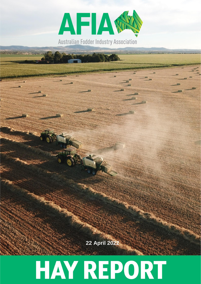

**2322July 2021 April 2022**

# **HAY REPORT**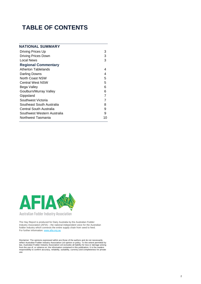# **TABLE OF CONTENTS**

| <b>NATIONAL SUMMARY</b>     |    |
|-----------------------------|----|
| Driving Prices Up           | 3  |
| <b>Driving Prices Down</b>  | 3  |
| Local News                  | 3  |
| <b>Regional Commentary</b>  |    |
| Atherton Tablelands         | 4  |
| Darling Downs               | 4  |
| North Coast NSW             | 5  |
| <b>Central West NSW</b>     | 5  |
| Bega Valley                 | 6  |
| Goulburn/Murray Valley      | 6  |
| Gippsland                   | 7  |
| Southwest Victoria          | 7  |
| Southeast South Australia   | 8  |
| Central South Australia     | 9  |
| Southwest Western Australia | 9  |
| Northwest Tasmania          | 10 |



For further information[: www.afia.org.au](https://www.afia.org.au/)

The Hay Report is produced for Dairy Australia by the Australian Fodder Industry Association (AFIA) – the national independent voice for the Australian fodder industry which connects the entire supply chain from seed to feed.

Disclaimer: The opinions expressed within are those of the authors and do not necessarily<br>reflect Australian Fodder Industry Association Ltd opinion or policy. To the extent permitted by<br>law, Australian Fodder Industry Ass responsibility to confirm accuracy, reliability, suitability, currency and completeness for private use.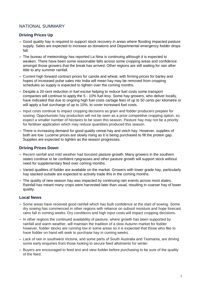# NATIONAL SUMMARY

# **Driving Prices Up**

- Good quality hay is required to support stock recovery in areas where flooding impacted pasture supply. Sales are expected to increase as donations and Departmental emergency fodder drops fall.
- The bureau of meteorology has reported La Nina is continuing although it is expected to weaken. There have been some reasonable falls across some cropping areas and confidence amongst those growers that the break has arrived. Other regions are still waiting for rain after little to any summer rainfall.
- Current high forward contract prices for canola and wheat, with firming prices for barley and hopes of increased pulse sales into India will mean hay may be removed from cropping schedules so supply is expected to tighten over the coming months.
- Despite a 20-cent reduction in fuel excise helping to reduce fuel costs some transport companies will continue to apply the 5 - 10% fuel levy. Some hay growers, who deliver locally, have indicated that due to ongoing high fuel costs cartage fees of up to 50 cents per kilometre or will apply a fuel surcharge of up to 10%, to cover increased fuel costs.
- Input costs continue to impact cropping decisions as grain and fodder producers prepare for sowing. Opportunistic hay production will not be seen as a price competitive cropping option, so expect a smaller number of hectares to be sown this season. Pasture hay may not be a priority for fertiliser application which may reduce quantities produced this season.
- There is increasing demand for good quality cereal hay and vetch hay. However, supplies of both are low. Lucerne prices are slowly rising as it is being purchased to fill the protein gap. Supplies are expected to tighten as the season progresses.

# **Driving Prices Down**

- Recent rainfall and mild weather had boosted pasture growth. Many growers in the southern states continue to be confident ryegrasses and other pasture growth will support stock without need for supplementary feed over coming months.
- Varied qualities of fodder are available on the market. Growers with lower grade hay, particularly hay stacked outside are expected to actively trade this in the coming months.
- The quality of new season hay was impacted by continuing rain events across most states. Rainfall has meant many crops were harvested later than usual, resulting in coarser hay of lower quality.

#### **Local News**

- Some areas have received good rainfall which has built confidence at the start of sowing. Some dry sowing has commenced in other regions with reliance on subsoil moisture and hope forecast rains fall in coming weeks. Dry conditions and high input costs will impact cropping decisions.
- In other regions the continued availability of pasture, where growth has been supported by rainfall and warm weather, will maintain the tradition of a slow Autumn market for fodder however, fodder stocks are running low in some areas so it is expected that those who like to have fodder on hand will seek to purchase hay in coming weeks.
- Lack of rain in southwest Victoria, and some parts of South Australia and Tasmania, are driving some early enquiries from those looking to secure feed allotments for winter.
- Buyers are encouraged to feed test and view fodder before purchasing to be sure of the quality of the feed.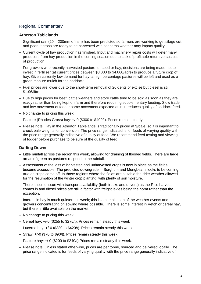# Regional Commentary

# **Atherton Tablelands**

- Significant rain (20 200mm of rain) has been predicted so farmers are working to get silage cut and peanut crops are ready to be harvested with concerns weather may impact quality.
- Current cycle of hay production has finished. Input and machinery repair costs will deter many producers from hay production in the coming season due to lack of profitable return versus cost of production.
- For growers who recently harvested pasture for seed or hay, decisions are being made not to invest in fertiliser (at current prices between \$3,000 to \$4,000/acre) to produce a future crop of hay. Given currently low demand for hay, a high percentage pastures will be left and used as a green manure mulch for the paddock.
- Fuel prices are lower due to the short-term removal of 20-cents of excise but diesel is still \$1.96/litre.
- Due to high prices for beef, cattle weaners and store cattle tend to be sold as soon as they are ready rather than being kept on farm and therefore requiring supplementary feeding. Slow trade and low movement of fodder some movement expected as rain reduces quality of paddock feed.
- No change to pricing this week.
- Pasture (Rhodes Grass) hay: +/-0 (\$300 to \$400/t). Prices remain steady.
- Please note: Hay in the Atherton Tablelands is traditionally priced at \$/bale, so it is important to check bale weights for conversion. The price range indicated is for feeds of varying quality with the price range generally indicative of quality of feed. We recommend feed testing and viewing of fodder before purchase to be sure of the quality of feed.

# **Darling Downs**

- Little rainfall across the region this week, allowing for draining of flooded fields. There are large areas of green as pastures respond to the rainfall.
- Assessment of the loss of harvested and unharvested crops is now in place as the fields become accessible. The predicted downgrade in Sorghum and Mungbeans looks to be coming true as crops come off. In those regions where the fields are suitable the drier weather allowed for the resumption of the winter crop planting, with plenty of soil moisture.
- There is some issue with transport availability (both trucks and drivers) as the Rice harvest comes in and diesel prices are still a factor with freight levies being the norm rather than the exception.
- Interest in hay is much quieter this week; this is a combination of the weather events and growers concentrating on sowing where possible. There is some interest in Vetch or cereal hay, but there is little available on the market.
- No change to pricing this week.
- Cereal hay: +/-0 (\$255 to \$275/t). Prices remain steady this week
- Lucerne hay: +/-0 (\$380 to \$420/t). Prices remain steady this week.
- Straw: +/-0 (\$70 to \$90/t). Prices remain steady this week.
- Pasture hay: +/-0 (\$200 to \$240/t) Prices remain steady this week.
- Please note: Unless stated otherwise, prices are per tonne, sourced and delivered locally. The price range indicated is for feeds of varying quality with the price range generally indicative of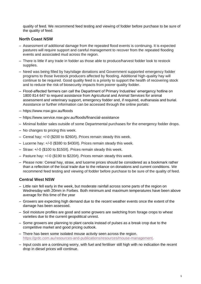quality of feed. We recommend feed testing and viewing of fodder before purchase to be sure of the quality of feed.

## **North Coast NSW**

- Assessment of additional damage from the repeated flood events is continuing. It is expected pastures will require support and careful management to recover from the repeated flooding events and associated mud across the region.
- There is little if any trade in fodder as those able to produce/harvest fodder look to restock supplies.
- Need was being filled by hay/silage donations and Government supported emergency fodder programs to those livestock producers affected by flooding. Additional high-quality hay will continue to be required. Good quality feed is a priority to support the health of recovering stock and to reduce the risk of biosecurity impacts from poorer quality fodder.
- Flood-affected farmers can call the Department of Primary Industries' emergency hotline on 1800 814 647 to request assistance from Agricultural and Animal Services for animal assessment and veterinary support, emergency fodder and, if required, euthanasia and burial. Assistance or further information can be accessed through the online portals:
- https://www.nsw.gov.au/floods
- https://www.service.nsw.gov.au/floods/financial-assistance
- Minimal fodder sales outside of some Departmental purchases for the emergency fodder drops.
- No changes to pricing this week.
- Cereal hay: +/-0 (\$200 to \$260/t). Prices remain steady this week.
- Lucerne hay: +/-0 (\$380 to \$430/t). Prices remain steady this week.
- Straw: +/-0 (\$100 to \$150/t). Prices remain steady this week.
- Pasture hay: +/-0 (\$190 to \$220/t). Prices remain steady this week.
- Please note: Cereal hay, straw, and lucerne prices should be considered as a bookmark rather than a reflection of the local trade due to the reliance on donations and current conditions. We recommend feed testing and viewing of fodder before purchase to be sure of the quality of feed.

#### **Central West NSW**

- Little rain fell early in the week, but moderate rainfall across some parts of the region on Wednesday with 20mm in Forbes. Both minimum and maximum temperatures have been above average for this time of the year
- Growers are expecting high demand due to the recent weather events once the extent of the damage has been assessed.
- Soil moisture profiles are good and some growers are switching from forage crops to wheat varieties due to the current geopolitical unrest.
- Some growers are planning to plant canola instead of pulses as a break crop due to the competitive market and good pricing outlook.
- There has been some isolated mouse activity seen across the region. [https://grdc.com.au/resources-and-publications/resources/mouse-management.](https://grdc.com.au/resources-and-publications/resources/mouse-management)
- Input costs are a continuing worry, with fuel and fertiliser still high with no indication the recent drop in diesel prices will continue.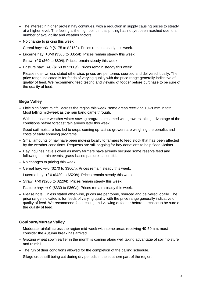- The interest in higher protein hay continues, with a reduction in supply causing prices to steady at a higher level. The feeling is the high point in this pricing has not yet been reached due to a number of availability and weather factors.
- No change to pricing this week.
- Cereal hay: +0/-0 (\$175 to \$215/t). Prices remain steady this week.
- Lucerne hay: +0/-0 (\$305 to \$355/t). Prices remain steady this week
- Straw: +/-0 (\$60 to \$80/t). Prices remain steady this week.
- Pasture hay: +/-0 (\$160 to \$200/t). Prices remain steady this week.
- Please note: Unless stated otherwise, prices are per tonne, sourced and delivered locally. The price range indicated is for feeds of varying quality with the price range generally indicative of quality of feed. We recommend feed testing and viewing of fodder before purchase to be sure of the quality of feed.

# **Bega Valley**

- Little significant rainfall across the region this week, some areas receiving 10-20mm in total. Most falling mid-week as the rain band came through.
- With the clearer weather winter sowing programs resumed with growers taking advantage of the conditions before forecast rain arrives later this week.
- Good soil moisture has led to crops coming up fast so growers are weighing the benefits and costs of early spraying programs.
- Small amounts of hay have been moving locally to farmers to feed stock that has been affected by the weather conditions. Requests are still ongoing for hay donations to help flood victims.
- Hay inquiries have slowed as many farmers have already secured some reserve feed and following the rain events, grass-based pasture is plentiful.
- No changes to pricing this week.
- Cereal hay: +/-0 (\$270 to \$300/t). Prices remain steady this week.
- Lucerne hay: +/-0 (\$480 to \$520/t). Prices remain steady this week.
- Straw: +/-0 (\$200 to \$220/t). Prices remain steady this week.
- Pasture hay: +/-0 (\$330 to \$360/t). Prices remain steady this week.
- Please note: Unless stated otherwise, prices are per tonne, sourced and delivered locally. The price range indicated is for feeds of varying quality with the price range generally indicative of quality of feed. We recommend feed testing and viewing of fodder before purchase to be sure of the quality of feed.

# **Goulburn/Murray Valley**

- Moderate rainfall across the region mid-week with some areas receiving 40-50mm, most consider the Autumn break has arrived.
- Grazing wheat sown earlier in the month is coming along well taking advantage of soil moisture and rainfall.
- The run of drier conditions allowed for the completion of the bailing schedule.
- Silage crops still being cut during dry periods in the southern part of the region.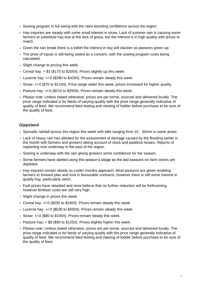- Sowing program in full swing with the rains boosting confidence across the region
- Hay inquiries are steady with some small interest in straw. Lack of summer rain is causing some farmers to substitute hay due to the lack of grass, but the interest is in high quality with prices to match.
- Given the rain break there is a belief the interest in hay will slacken as pastures green up.
- The price of inputs is still being stated as a concern, with the sowing program costs being calculated.
- Slight change to pricing this week
- Cereal hay: + \$3 (\$170 to \$205/t). Prices slightly up this week.
- Lucerne hay: +/-0 (\$390 to \$420/t). Prices remain steady this week
- Straw: +/-0 (\$70 to \$110/t). Price range wider this week, prices increased for higher quality.
- Pasture hay: +/-0 (\$210 to \$250/t). Prices remain steady this week.
- Please note: Unless stated otherwise, prices are per tonne, sourced and delivered locally. The price range indicated is for feeds of varying quality with the price range generally indicative of quality of feed. We recommend feed testing and viewing of fodder before purchase to be sure of the quality of feed.

## **Gippsland**

- Sporadic rainfall across this region this week with falls ranging from 10 30mm in some areas.
- Lack of heavy rain has allowed for the assessment of damage caused by the flooding earlier in the month with farmers and growers taking account of stock and paddock losses. Reports of replanting now underway in the east of the region.
- Sowing is underway with the rain giving growers some confidence for the season.
- Some farmers have started using this season's silage as the last seasons on-farm stores are depleted.
- Hay inquires remain steady as cooler months approach. Most pastures are green enabling farmers to forward plan and lock in favourable contracts, however there is still some interest in quality hay, particularly vetch.
- Fuel prices have steadied and most believe that no further reduction will be forthcoming, however fertiliser costs are still very high.
- Slight change in prices this week.
- Cereal hay: +/-0 (\$200 to \$240/t). Prices remain steady this week.
- Lucerne hay: +/-0 (\$530 to \$550/t). Prices remain steady this week.
- Straw: +/-0 (\$80 to \$100/t). Prices remain steady this week.
- Pasture hay: + \$8 (\$90 to \$125/t). Prices slightly higher this week.
- Please note: Unless stated otherwise, prices are per tonne, sourced and delivered locally. The price range indicated is for feeds of varying quality with the price range generally indicative of quality of feed. We recommend feed testing and viewing of fodder before purchase to be sure of the quality of feed.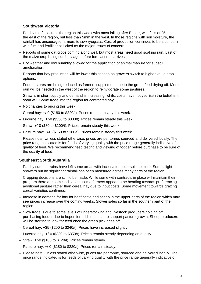# **Southwest Victoria**

- Patchy rainfall across the region this week with most falling after Easter, with falls of 25mm in the east of the region, but less than 5mm in the west. In those regions with soil moisture, the rainfall has encouraged farmers to sow ryegrass. Cost of production continues to be a concern with fuel and fertiliser still cited as the major issues of concern.
- Reports of some oat crops coming along well, but most areas need good soaking rain. Last of the maize crop being cut for silage before forecast rain arrives.
- Dry weather and low humidity allowed for the application of animal manure for subsoil amelioration.
- Reports that hay production will be lower this season as growers switch to higher value crop options.
- Fodder stores are being reduced as farmers supplement due to the green feed drying off. More rain will be needed in the west of the region to reinvigorate some pastures.
- Straw is in short supply and demand is increasing, whilst costs have not yet risen the belief is it soon will. Some trade into the region for contracted hay.
- No changes to pricing this week.
- Cereal hay: +/-0 (\$180 to \$220/t). Prices remain steady this week.
- Lucerne hay: +/-0 (\$330 to \$380/t). Prices remain steady this week.
- Straw: +/-0 (\$80 to \$100/t). Prices remain steady this week.
- Pasture hay: +/-0 (\$150 to \$180/t). Prices remain steady this week.
- Please note: Unless stated otherwise, prices are per tonne, sourced and delivered locally. The price range indicated is for feeds of varying quality with the price range generally indicative of quality of feed. We recommend feed testing and viewing of fodder before purchase to be sure of the quality of feed.

#### **Southeast South Australia**

- Patchy summer rains have left some areas with inconsistent sub-soil moisture. Some slight showers but no significant rainfall has been measured across many parts of the region.
- Cropping decisions are still to be made. While some with contracts in place will maintain their program there are some indications some farmers appear to be heading towards preferencing additional pasture rather than cereal hay due to input costs. Some movement towards grazing cereal varieties confirmed.
- Increase in demand for hay for beef cattle and sheep in the upper parts of the region which may see prices increase over the coming weeks. Slower sales so far in the southern part of the region.
- Slow trade is due to some levels of understocking and livestock producers holding off purchasing fodder due to hopes for additional rain to support pasture growth. Sheep producers will be starting to look for feed once the green pick dries off.
- Cereal hay: +\$5 (\$200 to \$240/t). Prices have increased slightly.
- Lucerne hay: +/-0 (\$330 to \$350/t). Prices remain steady depending on quality.
- Straw: +/-0 (\$100 to \$120/t). Prices remain steady.
- Pasture hay: +/-0 (\$180 to \$220/t). Prices remain steady.
- Please note: Unless stated otherwise, prices are per tonne, sourced and delivered locally. The price range indicated is for feeds of varying quality with the price range generally indicative of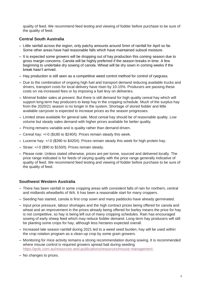quality of feed. We recommend feed testing and viewing of fodder before purchase to be sure of the quality of feed*.*

# **Central South Australia**

- Little rainfall across the region, only patchy amounts around 5mm of rainfall for April so far. Some other areas have had reasonable falls which have maintained subsoil moisture.
- It is expected some growers will be dropping out of hay production this coming season due to gross margin concerns. Canola will be highly preferred if the season breaks in time. A few beginning to undertake dry sowing of canola. Wheat will be dry sown in coming weeks if the break hasn't arrived.
- Hay production is still seen as a competitive weed control method for control of ryegrass.
- Due to the combination of ongoing high fuel and transport demand reducing available trucks and drivers, transport costs for local delivery have risen by 10-15%. Producers are passing these costs on via increased fees or by imposing a fuel levy on deliveries.
- Minimal fodder sales at present. But there is still demand for high quality cereal hay which will support long-term hay producers to keep hay in the cropping schedule. Much of the surplus hay from the 2020/21 season is no longer in the system. Shortage of stored fodder and little available carryover is expected to increase prices as the season progresses.
- Limited straw available for general sale. Most cereal hay should be of reasonable quality. Low volume but steady sales demand with higher prices available for better quality.
- Pricing remains variable and is quality rather than demand driven.
- Cereal hay: +/-0 (\$180 to \$240/t). Prices remain steady this week.
- Lucerne hay: +/-0 (\$390 to \$420/t). Prices remain steady this week for high protein hay.
- Straw: +/-0 (\$90 to \$150/t). Prices remain steady.
- Please note: Unless stated otherwise, prices are per tonne, sourced and delivered locally. The price range indicated is for feeds of varying quality with the price range generally indicative of quality of feed. We recommend feed testing and viewing of fodder before purchase to be sure of the quality of feed.

#### **Southwest Western Australia**

- There has been rainfall in some cropping areas with consistent falls of rain for northern, central and midlands wheatbelts of WA. It has been a reasonable start for many croppers.
- Seeding has started, canola is first crop sown and many paddocks have already germinated.
- Input price pressure, labour shortages and the high contract prices being offered for canola and wheat and an improvement in the prices already being offered for barley means the price for hay is not competitive, so hay is being left out of many cropping schedules. Rain has encouraged sowing of early sheep feed which may reduce fodder demand. Long-term hay producers will still be planting some crops for hay, although less hectares expected overall.
- Increased late season rainfall during 2021 led to a weed seed burden, hay will be used within the crop rotation program as a clean-up crop by some grain growers.
- Monitoring for mice activity remains a strong recommendation during sowing. It is recommended where mouse control is required growers spread bait during seeding [https://grdc.com.au/resources-and-publications/resources/mouse-management.](https://grdc.com.au/resources-and-publications/resources/mouse-management)
- No changes to prices.